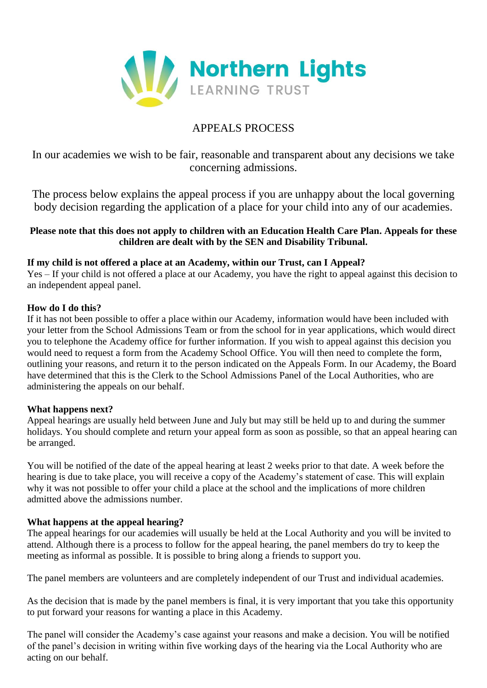

# APPEALS PROCESS

In our academies we wish to be fair, reasonable and transparent about any decisions we take concerning admissions.

The process below explains the appeal process if you are unhappy about the local governing body decision regarding the application of a place for your child into any of our academies.

## **Please note that this does not apply to children with an Education Health Care Plan. Appeals for these children are dealt with by the SEN and Disability Tribunal.**

### **If my child is not offered a place at an Academy, within our Trust, can I Appeal?**

Yes – If your child is not offered a place at our Academy, you have the right to appeal against this decision to an independent appeal panel.

### **How do I do this?**

If it has not been possible to offer a place within our Academy, information would have been included with your letter from the School Admissions Team or from the school for in year applications, which would direct you to telephone the Academy office for further information. If you wish to appeal against this decision you would need to request a form from the Academy School Office. You will then need to complete the form, outlining your reasons, and return it to the person indicated on the Appeals Form. In our Academy, the Board have determined that this is the Clerk to the School Admissions Panel of the Local Authorities, who are administering the appeals on our behalf.

### **What happens next?**

Appeal hearings are usually held between June and July but may still be held up to and during the summer holidays. You should complete and return your appeal form as soon as possible, so that an appeal hearing can be arranged.

You will be notified of the date of the appeal hearing at least 2 weeks prior to that date. A week before the hearing is due to take place, you will receive a copy of the Academy's statement of case. This will explain why it was not possible to offer your child a place at the school and the implications of more children admitted above the admissions number.

# **What happens at the appeal hearing?**

The appeal hearings for our academies will usually be held at the Local Authority and you will be invited to attend. Although there is a process to follow for the appeal hearing, the panel members do try to keep the meeting as informal as possible. It is possible to bring along a friends to support you.

The panel members are volunteers and are completely independent of our Trust and individual academies.

As the decision that is made by the panel members is final, it is very important that you take this opportunity to put forward your reasons for wanting a place in this Academy.

The panel will consider the Academy's case against your reasons and make a decision. You will be notified of the panel's decision in writing within five working days of the hearing via the Local Authority who are acting on our behalf.